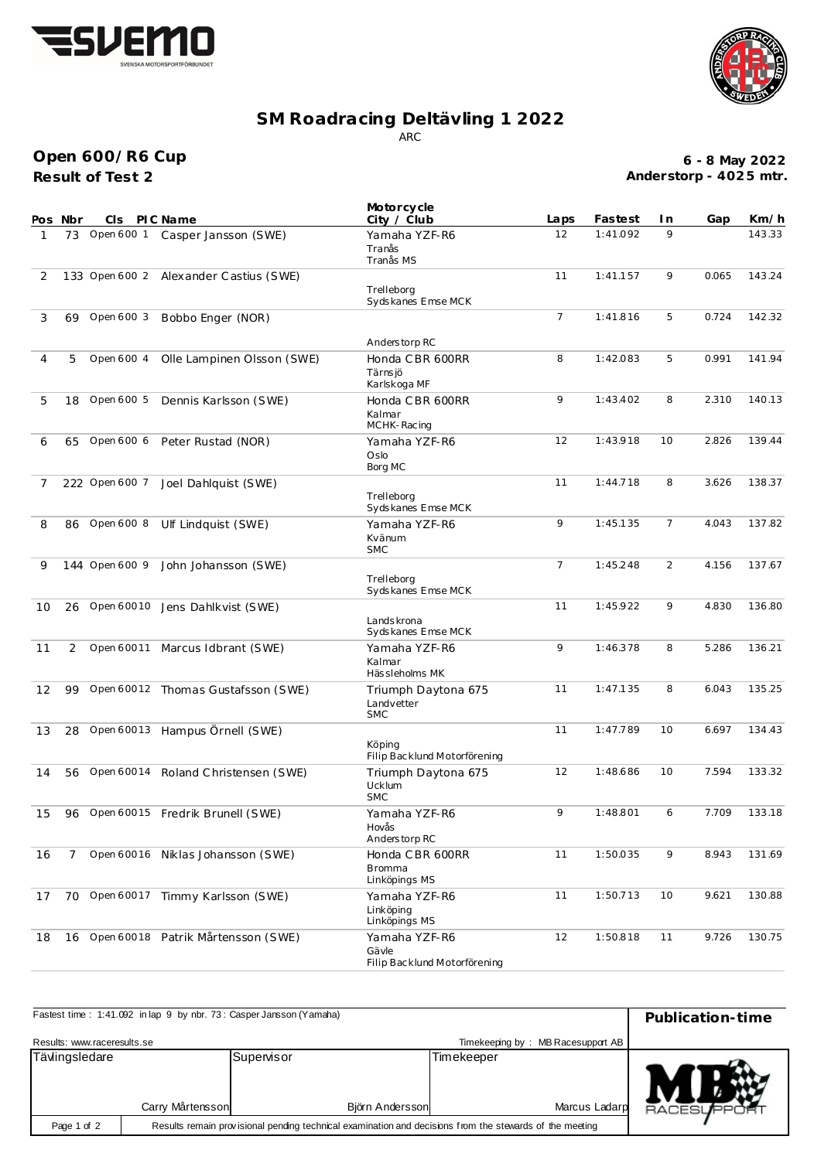



## **SM Roadracing Deltävling 1 2022** ARC

**Result of Test 2 Open 600/R6 Cup**

**6 - 8 May 2022 Anderstorp - 402 5 mtr.**

|    | Pos Nbr | CIS.           | PI C Name                              | Motorcycle<br>City / Club                                    | Laps           | Fastest  | I n            | Gap   | Km/h   |
|----|---------|----------------|----------------------------------------|--------------------------------------------------------------|----------------|----------|----------------|-------|--------|
| 1  |         |                | 73 Open 600 1 Casper Jansson (SWE)     | Yamaha YZF-R6<br>Tranås<br>Tranås MS                         | 12             | 1:41.092 | 9              |       | 143.33 |
| 2  |         |                | 133 Open 600 2 Alexander Castius (SWE) | Trelleborg<br>Sydskanes Emse MCK                             | 11             | 1:41.157 | 9              | 0.065 | 143.24 |
| 3  | 69      | Open 600 3     | Bobbo Enger (NOR)                      |                                                              | $\overline{7}$ | 1:41.816 | 5              | 0.724 | 142.32 |
| 4  | 5       | Open 600 4     | Olle Lampinen Olsson (SWE)             | Anderstorp RC<br>Honda CBR 600RR<br>Tärns jö<br>Karlskoga MF | 8              | 1:42.083 | 5              | 0.991 | 141.94 |
| 5  | 18      | Open 600 5     | Dennis Karlsson (SWE)                  | Honda CBR 600RR<br>Kalmar<br>MCHK-Racing                     | 9              | 1:43.402 | 8              | 2.310 | 140.13 |
| 6  |         |                | 65 Open 600 6 Peter Rustad (NOR)       | Yamaha YZF-R6<br>Oslo<br>Borg MC                             | 12             | 1:43.918 | 10             | 2.826 | 139.44 |
| 7  |         | 222 Open 600 7 | Joel Dahlquist (SWE)                   | Trelleborg<br>Sydskanes Emse MCK                             | 11             | 1:44.718 | 8              | 3.626 | 138.37 |
| 8  |         |                | 86 Open 600 8 Ulf Lindquist (SWE)      | Yamaha YZF-R6<br>Kvänum<br><b>SMC</b>                        | 9              | 1:45.135 | $\overline{7}$ | 4.043 | 137.82 |
| 9  |         | 144 Open 600 9 | John Johansson (SWE)                   | Trelleborg<br>Sydskanes Emse MCK                             | $\overline{7}$ | 1:45.248 | 2              | 4.156 | 137.67 |
| 10 |         |                | 26 Open 60010 Jens Dahlkvist (SWE)     | Lands krona<br>Sydskanes Emse MCK                            | 11             | 1:45.922 | 9              | 4.830 | 136.80 |
| 11 | 2       |                | Open 60011 Marcus Idbrant (SWE)        | Yamaha YZF-R6<br>Kalmar<br>Hässleholms MK                    | 9              | 1:46.378 | 8              | 5.286 | 136.21 |
| 12 |         |                | 99 Open 60012 Thomas Gustafsson (SWE)  | Triumph Daytona 675<br>Landvetter<br><b>SMC</b>              | 11             | 1:47.135 | 8              | 6.043 | 135.25 |
| 13 | 28      |                | Open 60013 Hampus Örnell (SWE)         | Köping<br>Filip Backlund Motorförening                       | 11             | 1:47.789 | 10             | 6.697 | 134.43 |
| 14 |         |                | 56 Open 60014 Roland Christensen (SWE) | Triumph Daytona 675<br>Ucklum<br><b>SMC</b>                  | 12             | 1:48.686 | 10             | 7.594 | 133.32 |
| 15 | 96      |                | Open 60015 Fredrik Brunell (SWE)       | Yamaha YZF-R6<br>Hovås<br>Anderstorp RC                      | 9              | 1:48.801 | 6              | 7.709 | 133.18 |
| 16 | 7       |                | Open 60016 Niklas Johansson (SWE)      | Honda CBR 600RR<br><b>Bromma</b><br>Linköpings MS            | 11             | 1:50.035 | 9              | 8.943 | 131.69 |
| 17 |         |                | 70 Open 60017 Timmy Karlsson (SWE)     | Yamaha YZF-R6<br>Linköpina<br>Linköpings MS                  | 11             | 1:50.713 | 10             | 9.621 | 130.88 |
| 18 | 16      |                | Open 60018 Patrik Mårtensson (SWE)     | Yamaha YZF-R6<br>Gävle<br>Filip Backlund Motorförening       | 12             | 1:50.818 | 11             | 9.726 | 130.75 |

| Fastest time: 1:41.092 in lap 9 by nbr. 73: Casper Jansson (Yamaha) | Publication-time |                               |                                   |                    |
|---------------------------------------------------------------------|------------------|-------------------------------|-----------------------------------|--------------------|
| Results: www.raceresults.se                                         |                  |                               | Timekeeping by: MB Racesupport AB |                    |
| Tävlingsledare                                                      | Carry Mårtensson | Supervisor<br>Björn Andersson | Timekeeper<br>Marcus Ladarp       | <b>RACESUPPORT</b> |
| Page 1 of 2                                                         |                  |                               |                                   |                    |